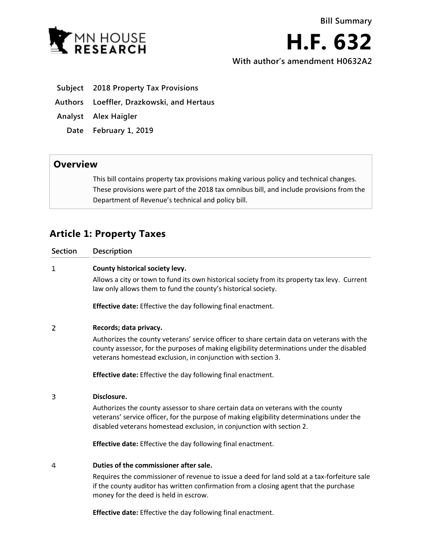

**H.F. 632 With author's amendment H0632A2**

- **Subject 2018 Property Tax Provisions**
- **Authors Loeffler, Drazkowski, and Hertaus**
- **Analyst Alex Haigler**
	- **Date February 1, 2019**

## **Overview**

This bill contains property tax provisions making various policy and technical changes. These provisions were part of the 2018 tax omnibus bill, and include provisions from the Department of Revenue's technical and policy bill.

## **Article 1: Property Taxes**

| <b>Section</b> | Description                                                                                                                                                                                                                                             |
|----------------|---------------------------------------------------------------------------------------------------------------------------------------------------------------------------------------------------------------------------------------------------------|
| 1              | County historical society levy.                                                                                                                                                                                                                         |
|                | Allows a city or town to fund its own historical society from its property tax levy. Current<br>law only allows them to fund the county's historical society.                                                                                           |
|                | <b>Effective date:</b> Effective the day following final enactment.                                                                                                                                                                                     |
| 2              | Records; data privacy.                                                                                                                                                                                                                                  |
|                | Authorizes the county veterans' service officer to share certain data on veterans with the<br>county assessor, for the purposes of making eligibility determinations under the disabled<br>veterans homestead exclusion, in conjunction with section 3. |
|                | <b>Effective date:</b> Effective the day following final enactment.                                                                                                                                                                                     |
| 3              | Disclosure.                                                                                                                                                                                                                                             |
|                | Authorizes the county assessor to share certain data on veterans with the county<br>veterans' service officer, for the purpose of making eligibility determinations under the<br>disabled veterans homestead exclusion, in conjunction with section 2.  |
|                | <b>Effective date:</b> Effective the day following final enactment.                                                                                                                                                                                     |
| 4              | Duties of the commissioner after sale.                                                                                                                                                                                                                  |
|                | Requires the commissioner of revenue to issue a deed for land sold at a tax-forfeiture sale<br>if the county auditor has written confirmation from a closing agent that the purchase                                                                    |

**Effective date:** Effective the day following final enactment.

money for the deed is held in escrow.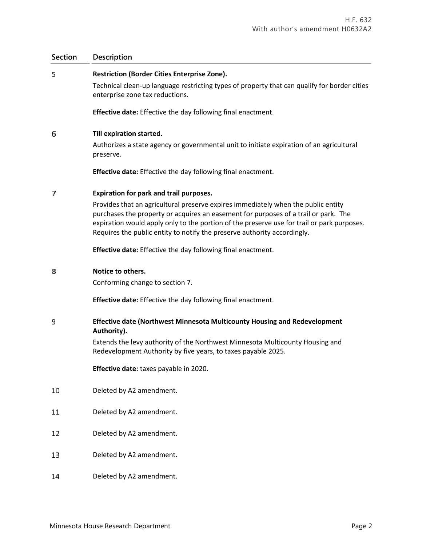### **Section Description**

### 5 **Restriction (Border Cities Enterprise Zone).**

Technical clean-up language restricting types of property that can qualify for border cities enterprise zone tax reductions.

**Effective date:** Effective the day following final enactment.

### 6 **Till expiration started.**

Authorizes a state agency or governmental unit to initiate expiration of an agricultural preserve.

**Effective date:** Effective the day following final enactment.

### 7 **Expiration for park and trail purposes.**

Provides that an agricultural preserve expires immediately when the public entity purchases the property or acquires an easement for purposes of a trail or park. The expiration would apply only to the portion of the preserve use for trail or park purposes. Requires the public entity to notify the preserve authority accordingly.

**Effective date:** Effective the day following final enactment.

#### 8 **Notice to others.**

Conforming change to section 7.

**Effective date:** Effective the day following final enactment.

### 9 **Effective date (Northwest Minnesota Multicounty Housing and Redevelopment Authority).**

Extends the levy authority of the Northwest Minnesota Multicounty Housing and Redevelopment Authority by five years, to taxes payable 2025.

**Effective date:** taxes payable in 2020.

- 10 Deleted by A2 amendment.
- 11 Deleted by A2 amendment.
- 12 Deleted by A2 amendment.
- Deleted by A2 amendment. 13
- 14 Deleted by A2 amendment.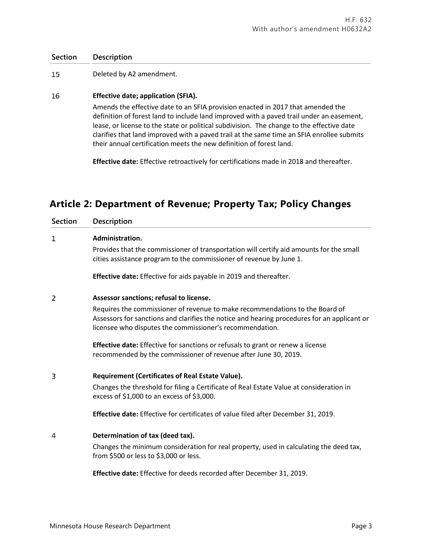### **Section Description**

15 Deleted by A2 amendment.

### 16 **Effective date; application (SFIA).**

Amends the effective date to an SFIA provision enacted in 2017 that amended the definition of forest land to include land improved with a paved trail under an easement, lease, or license to the state or political subdivision. The change to the effective date clarifies that land improved with a paved trail at the same time an SFIA enrollee submits their annual certification meets the new definition of forest land.

**Effective date:** Effective retroactively for certifications made in 2018 and thereafter.

## **Article 2: Department of Revenue; Property Tax; Policy Changes**

| <b>Section</b> | Description                                                                                                                                                                                                                             |
|----------------|-----------------------------------------------------------------------------------------------------------------------------------------------------------------------------------------------------------------------------------------|
| 1              | Administration.                                                                                                                                                                                                                         |
|                | Provides that the commissioner of transportation will certify aid amounts for the small<br>cities assistance program to the commissioner of revenue by June 1.                                                                          |
|                | Effective date: Effective for aids payable in 2019 and thereafter.                                                                                                                                                                      |
| 2              | Assessor sanctions; refusal to license.                                                                                                                                                                                                 |
|                | Requires the commissioner of revenue to make recommendations to the Board of<br>Assessors for sanctions and clarifies the notice and hearing procedures for an applicant or<br>licensee who disputes the commissioner's recommendation. |
|                | <b>Effective date:</b> Effective for sanctions or refusals to grant or renew a license<br>recommended by the commissioner of revenue after June 30, 2019.                                                                               |
| 3              | <b>Requirement (Certificates of Real Estate Value).</b>                                                                                                                                                                                 |
|                | Changes the threshold for filing a Certificate of Real Estate Value at consideration in<br>excess of $$1,000$ to an excess of $$3,000$ .                                                                                                |
|                | Effective date: Effective for certificates of value filed after December 31, 2019.                                                                                                                                                      |
| 4              | Determination of tax (deed tax).                                                                                                                                                                                                        |
|                | Changes the minimum consideration for real property, used in calculating the deed tax,<br>from \$500 or less to \$3,000 or less.                                                                                                        |
|                | Effective date: Effective for deeds recorded after December 31, 2019.                                                                                                                                                                   |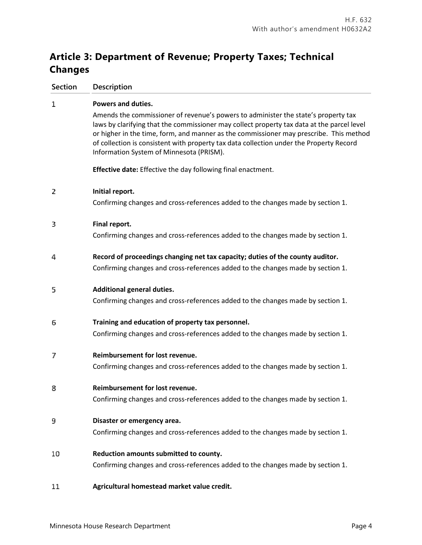# **Article 3: Department of Revenue; Property Taxes; Technical Changes**

| <b>Section</b> | Description                                                                                                                                                                                                                                                                                                                                                                                                       |
|----------------|-------------------------------------------------------------------------------------------------------------------------------------------------------------------------------------------------------------------------------------------------------------------------------------------------------------------------------------------------------------------------------------------------------------------|
| 1              | Powers and duties.                                                                                                                                                                                                                                                                                                                                                                                                |
|                | Amends the commissioner of revenue's powers to administer the state's property tax<br>laws by clarifying that the commissioner may collect property tax data at the parcel level<br>or higher in the time, form, and manner as the commissioner may prescribe. This method<br>of collection is consistent with property tax data collection under the Property Record<br>Information System of Minnesota (PRISM). |
|                | <b>Effective date:</b> Effective the day following final enactment.                                                                                                                                                                                                                                                                                                                                               |
| 2              | Initial report.                                                                                                                                                                                                                                                                                                                                                                                                   |
|                | Confirming changes and cross-references added to the changes made by section 1.                                                                                                                                                                                                                                                                                                                                   |
| 3              | Final report.                                                                                                                                                                                                                                                                                                                                                                                                     |
|                | Confirming changes and cross-references added to the changes made by section 1.                                                                                                                                                                                                                                                                                                                                   |
| 4              | Record of proceedings changing net tax capacity; duties of the county auditor.                                                                                                                                                                                                                                                                                                                                    |
|                | Confirming changes and cross-references added to the changes made by section 1.                                                                                                                                                                                                                                                                                                                                   |
| 5              | <b>Additional general duties.</b>                                                                                                                                                                                                                                                                                                                                                                                 |
|                | Confirming changes and cross-references added to the changes made by section 1.                                                                                                                                                                                                                                                                                                                                   |
| 6              | Training and education of property tax personnel.                                                                                                                                                                                                                                                                                                                                                                 |
|                | Confirming changes and cross-references added to the changes made by section 1.                                                                                                                                                                                                                                                                                                                                   |
| 7              | Reimbursement for lost revenue.                                                                                                                                                                                                                                                                                                                                                                                   |
|                | Confirming changes and cross-references added to the changes made by section 1.                                                                                                                                                                                                                                                                                                                                   |
| 8              | Reimbursement for lost revenue.                                                                                                                                                                                                                                                                                                                                                                                   |
|                | Confirming changes and cross-references added to the changes made by section 1.                                                                                                                                                                                                                                                                                                                                   |
| 9              | Disaster or emergency area.                                                                                                                                                                                                                                                                                                                                                                                       |
|                | Confirming changes and cross-references added to the changes made by section 1.                                                                                                                                                                                                                                                                                                                                   |
| 10             | Reduction amounts submitted to county.                                                                                                                                                                                                                                                                                                                                                                            |
|                | Confirming changes and cross-references added to the changes made by section 1.                                                                                                                                                                                                                                                                                                                                   |
| 11             | Agricultural homestead market value credit.                                                                                                                                                                                                                                                                                                                                                                       |